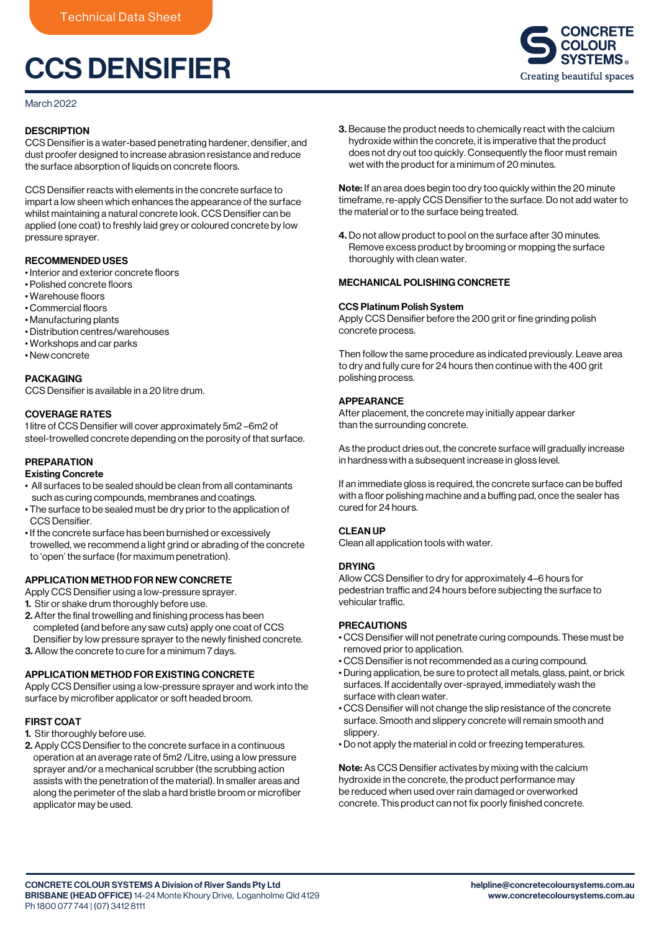# CCS DENSIFIER

March 2022

## **DESCRIPTION**

CCS Densifier is a water-based penetrating hardener, densifier, and dust proofer designed to increase abrasion resistance and reduce the surface absorption of liquids on concrete floors.

CCS Densifier reacts with elements in the concrete surface to impart a low sheen which enhances the appearance of the surface whilst maintaining a natural concrete look. CCS Densifier can be applied (one coat) to freshly laid grey or coloured concrete by low pressure sprayer.

## RECOMMENDED USES

- Interior and exterior concrete floors
- Polished concrete floors
- Warehouse floors
- Commercial floors
- Manufacturing plants
- Distribution centres/warehouses
- Workshops and car parks
- New concrete

#### PACKAGING

CCS Densifier is available in a 20 litre drum.

### COVERAGE RATES

1 litre of CCS Densifier will cover approximately 5m2 –6m2 of steel-trowelled concrete depending on the porosity of that surface.

## PREPARATION

#### Existing Concrete

- All surfaces to be sealed should be clean from all contaminants such as curing compounds, membranes and coatings.
- The surface to be sealed must be dry prior to the application of CCS Densifier.
- If the concrete surface has been burnished or excessively trowelled, we recommend a light grind or abrading of the concrete to 'open' the surface (for maximum penetration).

## APPLICATION METHOD FOR NEW CONCRETE

Apply CCS Densifier using a low-pressure sprayer.

- 1. Stir or shake drum thoroughly before use.
- 2. After the final trowelling and finishing process has been completed (and before any saw cuts) apply one coat of CCS Densifier by low pressure sprayer to the newly finished concrete.
- 3. Allow the concrete to cure for a minimum 7 days.

## APPLICATION METHOD FOR EXISTING CONCRETE

Apply CCS Densifier using a low-pressure sprayer and work into the surface by microfiber applicator or soft headed broom.

#### FIRST COAT

1. Stir thoroughly before use.

2. Apply CCS Densifier to the concrete surface in a continuous operation at an average rate of 5m2 /Litre, using a low pressure sprayer and/or a mechanical scrubber (the scrubbing action assists with the penetration of the material). In smaller areas and along the perimeter of the slab a hard bristle broom or microfiber applicator may be used.

3. Because the product needs to chemically react with the calcium hydroxide within the concrete, it is imperative that the product does not dry out too quickly. Consequently the floor must remain wet with the product for a minimum of 20 minutes.

Note: If an area does begin too dry too quickly within the 20 minute timeframe, re-apply CCS Densifier to the surface. Do not add water to the material or to the surface being treated.

4. Do not allow product to pool on the surface after 30 minutes. Remove excess product by brooming or mopping the surface thoroughly with clean water.

#### MECHANICAL POLISHING CONCRETE

#### CCS Platinum Polish System

Apply CCS Densifier before the 200 grit or fine grinding polish concrete process.

Then follow the same procedure as indicated previously. Leave area to dry and fully cure for 24 hours then continue with the 400 grit polishing process.

### APPEARANCE

After placement, the concrete may initially appear darker than the surrounding concrete.

As the product dries out, the concrete surface will gradually increase in hardness with a subsequent increase in gloss level.

If an immediate gloss is required, the concrete surface can be buffed with a floor polishing machine and a buffing pad, once the sealer has cured for 24 hours.

#### CLEAN UP

Clean all application tools with water.

#### **DRYING**

Allow CCS Densifier to dry for approximately 4–6 hours for pedestrian traffic and 24 hours before subjecting the surface to vehicular traffic.

## PRECAUTIONS

- CCS Densifier will not penetrate curing compounds. These must be removed prior to application.
- CCS Densifier is not recommended as a curing compound.
- During application, be sure to protect all metals, glass, paint, or brick surfaces. If accidentally over-sprayed, immediately wash the surface with clean water.
- CCS Densifier will not change the slip resistance of the concrete surface. Smooth and slippery concrete will remain smooth and slippery.
- Do not apply the material in cold or freezing temperatures.

Note: As CCS Densifier activates by mixing with the calcium hydroxide in the concrete, the product performance may be reduced when used over rain damaged or overworked concrete. This product can not fix poorly finished concrete.